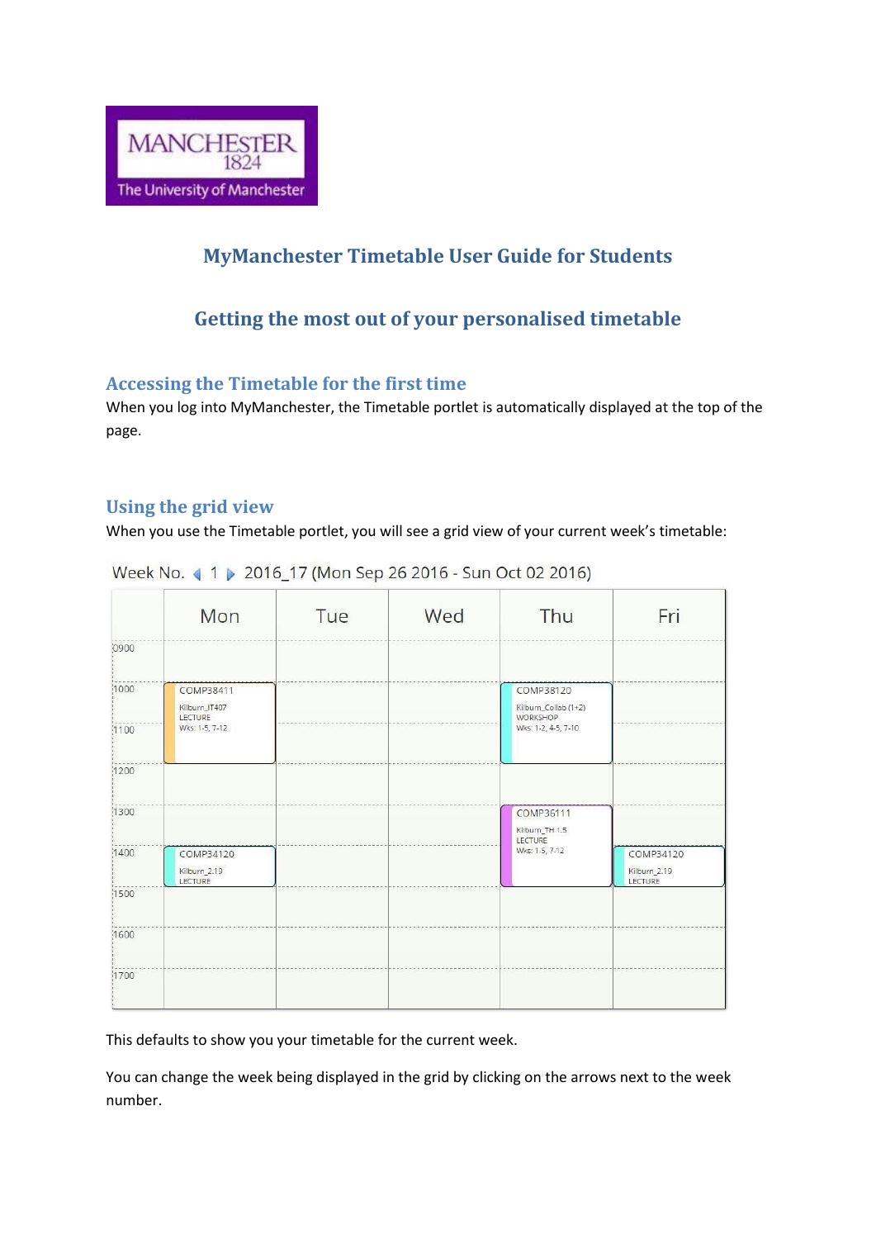

# **MyManchester Timetable User Guide for Students**

## **Getting the most out of your personalised timetable**

#### **Accessing the Timetable for the first time**

When you log into MyManchester, the Timetable portlet is automatically displayed at the top of the page.

### **Using the grid view**

When you use the Timetable portlet, you will see a grid view of your current week's timetable:

|       | Mon                                   | Tue | Wed | Thu                                                      | Fri                                  |
|-------|---------------------------------------|-----|-----|----------------------------------------------------------|--------------------------------------|
| 0900  |                                       |     |     |                                                          |                                      |
| 1000  | COMP38411<br>Kilburn_IT407<br>LECTURE |     |     | COMP38120<br>Kilburn_Collab (1+2)<br>WORKSHOP            |                                      |
| 1100  | Wks: 1-5, 7-12                        |     |     | Wks: 1-2, 4-5, 7-10                                      |                                      |
| 1200  |                                       |     |     |                                                          |                                      |
| (1300 |                                       |     |     | COMP36111<br>Kilburn_TH 1.5<br>LECTURE<br>Wks: 1-5, 7-12 |                                      |
| 1400  | COMP34120<br>Kilburn_2.19<br>LECTURE  |     |     |                                                          | COMP34120<br>Kilburn_2.19<br>LECTURE |
| 1500  |                                       |     |     |                                                          |                                      |
| 1600  |                                       |     |     |                                                          |                                      |
| 1700  |                                       |     |     |                                                          |                                      |

Week No. 1 > 2016\_17 (Mon Sep 26 2016 - Sun Oct 02 2016)

This defaults to show you your timetable for the current week.

You can change the week being displayed in the grid by clicking on the arrows next to the week number.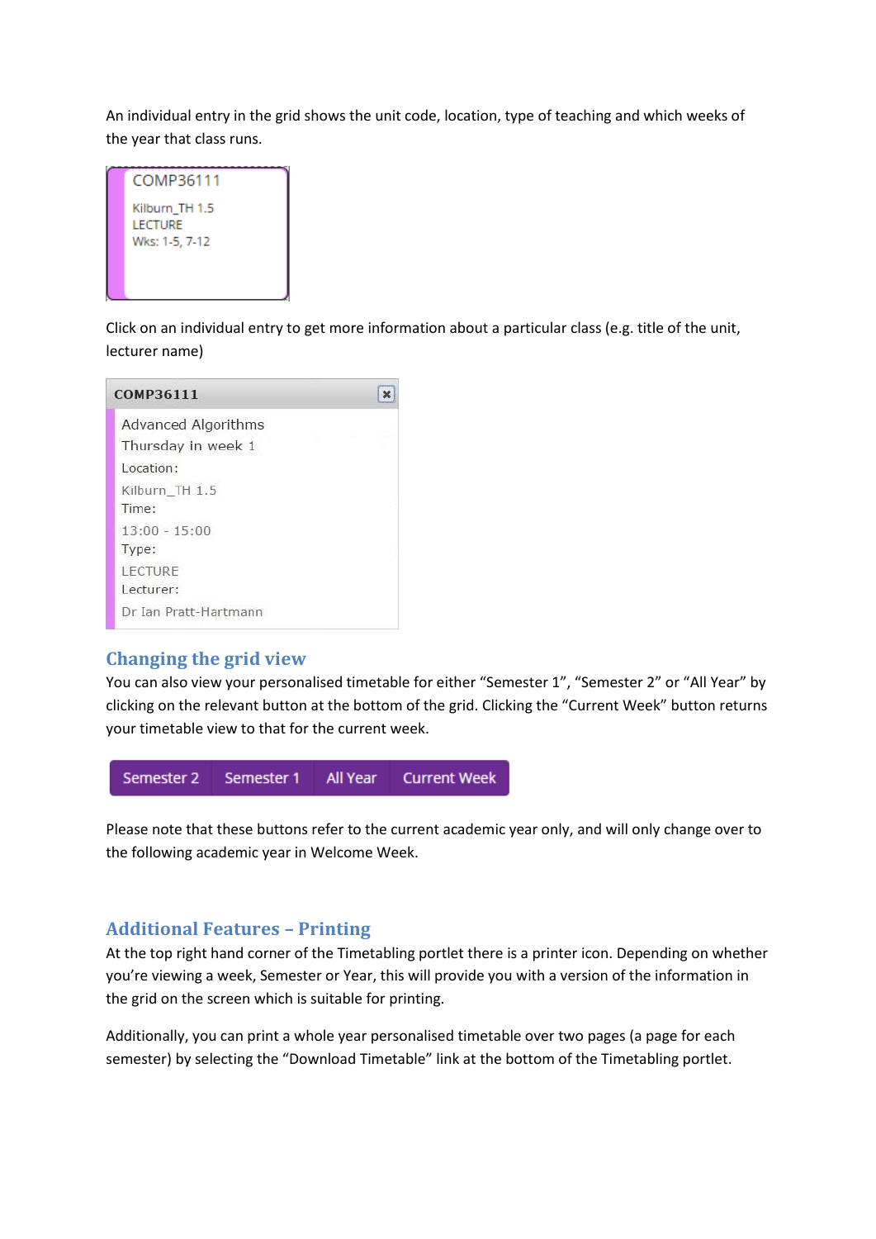An individual entry in the grid shows the unit code, location, type of teaching and which weeks of the year that class runs.



Click on an individual entry to get more information about a particular class (e.g. title of the unit, lecturer name)

| COMP36111             |  |
|-----------------------|--|
| Advanced Algorithms   |  |
| Thursday in week 1    |  |
| Location:             |  |
| Kilburn TH 1.5        |  |
| Time:                 |  |
| $13:00 - 15:00$       |  |
| Type:                 |  |
| LECTURE               |  |
| Lecturer:             |  |
| Dr Ian Pratt-Hartmann |  |

#### **Changing the grid view**

You can also view your personalised timetable for either "Semester 1", "Semester 2" or "All Year" by clicking on the relevant button at the bottom of the grid. Clicking the "Current Week" button returns your timetable view to that for the current week.



Please note that these buttons refer to the current academic year only, and will only change over to the following academic year in Welcome Week.

#### **Additional Features – Printing**

At the top right hand corner of the Timetabling portlet there is a printer icon. Depending on whether you're viewing a week, Semester or Year, this will provide you with a version of the information in the grid on the screen which is suitable for printing.

Additionally, you can print a whole year personalised timetable over two pages (a page for each semester) by selecting the "Download Timetable" link at the bottom of the Timetabling portlet.